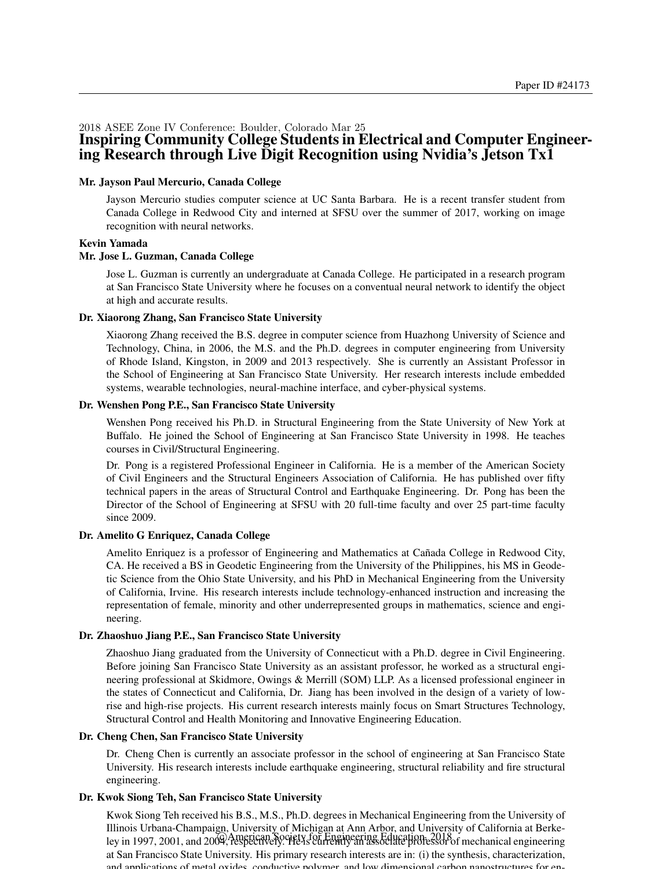#### 2018 ASEE Zone IV Conference: Boulder, Colorado Mar 25 Inspiring Community College Students in Electrical and Computer Engineering Research through Live Digit Recognition using Nvidia's Jetson Tx1

#### Mr. Jayson Paul Mercurio, Canada College

Jayson Mercurio studies computer science at UC Santa Barbara. He is a recent transfer student from Canada College in Redwood City and interned at SFSU over the summer of 2017, working on image recognition with neural networks.

#### Kevin Yamada

#### Mr. Jose L. Guzman, Canada College

Jose L. Guzman is currently an undergraduate at Canada College. He participated in a research program at San Francisco State University where he focuses on a conventual neural network to identify the object at high and accurate results.

#### Dr. Xiaorong Zhang, San Francisco State University

Xiaorong Zhang received the B.S. degree in computer science from Huazhong University of Science and Technology, China, in 2006, the M.S. and the Ph.D. degrees in computer engineering from University of Rhode Island, Kingston, in 2009 and 2013 respectively. She is currently an Assistant Professor in the School of Engineering at San Francisco State University. Her research interests include embedded systems, wearable technologies, neural-machine interface, and cyber-physical systems.

#### Dr. Wenshen Pong P.E., San Francisco State University

Wenshen Pong received his Ph.D. in Structural Engineering from the State University of New York at Buffalo. He joined the School of Engineering at San Francisco State University in 1998. He teaches courses in Civil/Structural Engineering.

Dr. Pong is a registered Professional Engineer in California. He is a member of the American Society of Civil Engineers and the Structural Engineers Association of California. He has published over fifty technical papers in the areas of Structural Control and Earthquake Engineering. Dr. Pong has been the Director of the School of Engineering at SFSU with 20 full-time faculty and over 25 part-time faculty since 2009.

#### Dr. Amelito G Enriquez, Canada College

Amelito Enriquez is a professor of Engineering and Mathematics at Cañada College in Redwood City, CA. He received a BS in Geodetic Engineering from the University of the Philippines, his MS in Geodetic Science from the Ohio State University, and his PhD in Mechanical Engineering from the University of California, Irvine. His research interests include technology-enhanced instruction and increasing the representation of female, minority and other underrepresented groups in mathematics, science and engineering.

#### Dr. Zhaoshuo Jiang P.E., San Francisco State University

Zhaoshuo Jiang graduated from the University of Connecticut with a Ph.D. degree in Civil Engineering. Before joining San Francisco State University as an assistant professor, he worked as a structural engineering professional at Skidmore, Owings & Merrill (SOM) LLP. As a licensed professional engineer in the states of Connecticut and California, Dr. Jiang has been involved in the design of a variety of lowrise and high-rise projects. His current research interests mainly focus on Smart Structures Technology, Structural Control and Health Monitoring and Innovative Engineering Education.

#### Dr. Cheng Chen, San Francisco State University

Dr. Cheng Chen is currently an associate professor in the school of engineering at San Francisco State University. His research interests include earthquake engineering, structural reliability and fire structural engineering.

#### Dr. Kwok Siong Teh, San Francisco State University

Kwok Siong Teh received his B.S., M.S., Ph.D. degrees in Mechanical Engineering from the University of Illinois Urbana-Champaign, University of Michigan at Ann Arbor, and University of California at Berkeley in 1997, 2001, and 2004, respectively. He is currently an associate professor of mechanical engineering at San Francisco State University. His primary research interests are in: (i) the synthesis, characterization, and applications of metal oxides, conductive polymer, and low dimensional carbon nanostructures for en-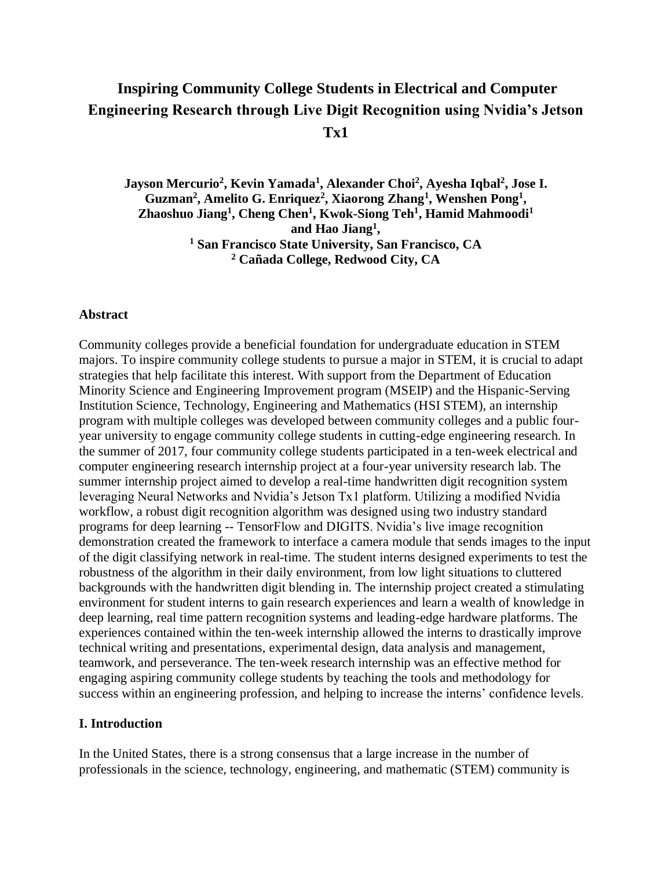# **Inspiring Community College Students in Electrical and Computer Engineering Research through Live Digit Recognition using Nvidia's Jetson Tx1**

**Jayson Mercurio<sup>2</sup> , Kevin Yamada<sup>1</sup> , Alexander Choi<sup>2</sup> , Ayesha Iqbal<sup>2</sup> , Jose I. Guzman<sup>2</sup> , Amelito G. Enriquez<sup>2</sup> , Xiaorong Zhang<sup>1</sup> , Wenshen Pong<sup>1</sup> , Zhaoshuo Jiang<sup>1</sup> , Cheng Chen<sup>1</sup> , Kwok-Siong Teh<sup>1</sup> , Hamid Mahmoodi<sup>1</sup> and Hao Jiang<sup>1</sup> , <sup>1</sup> San Francisco State University, San Francisco, CA <sup>2</sup> Cañada College, Redwood City, CA**

#### **Abstract**

Community colleges provide a beneficial foundation for undergraduate education in STEM majors. To inspire community college students to pursue a major in STEM, it is crucial to adapt strategies that help facilitate this interest. With support from the Department of Education Minority Science and Engineering Improvement program (MSEIP) and the Hispanic-Serving Institution Science, Technology, Engineering and Mathematics (HSI STEM), an internship program with multiple colleges was developed between community colleges and a public fouryear university to engage community college students in cutting-edge engineering research. In the summer of 2017, four community college students participated in a ten-week electrical and computer engineering research internship project at a four-year university research lab. The summer internship project aimed to develop a real-time handwritten digit recognition system leveraging Neural Networks and Nvidia's Jetson Tx1 platform. Utilizing a modified Nvidia workflow, a robust digit recognition algorithm was designed using two industry standard programs for deep learning -- TensorFlow and DIGITS. Nvidia's live image recognition demonstration created the framework to interface a camera module that sends images to the input of the digit classifying network in real-time. The student interns designed experiments to test the robustness of the algorithm in their daily environment, from low light situations to cluttered backgrounds with the handwritten digit blending in. The internship project created a stimulating environment for student interns to gain research experiences and learn a wealth of knowledge in deep learning, real time pattern recognition systems and leading-edge hardware platforms. The experiences contained within the ten-week internship allowed the interns to drastically improve technical writing and presentations, experimental design, data analysis and management, teamwork, and perseverance. The ten-week research internship was an effective method for engaging aspiring community college students by teaching the tools and methodology for success within an engineering profession, and helping to increase the interns' confidence levels.

### **I. Introduction**

In the United States, there is a strong consensus that a large increase in the number of professionals in the science, technology, engineering, and mathematic (STEM) community is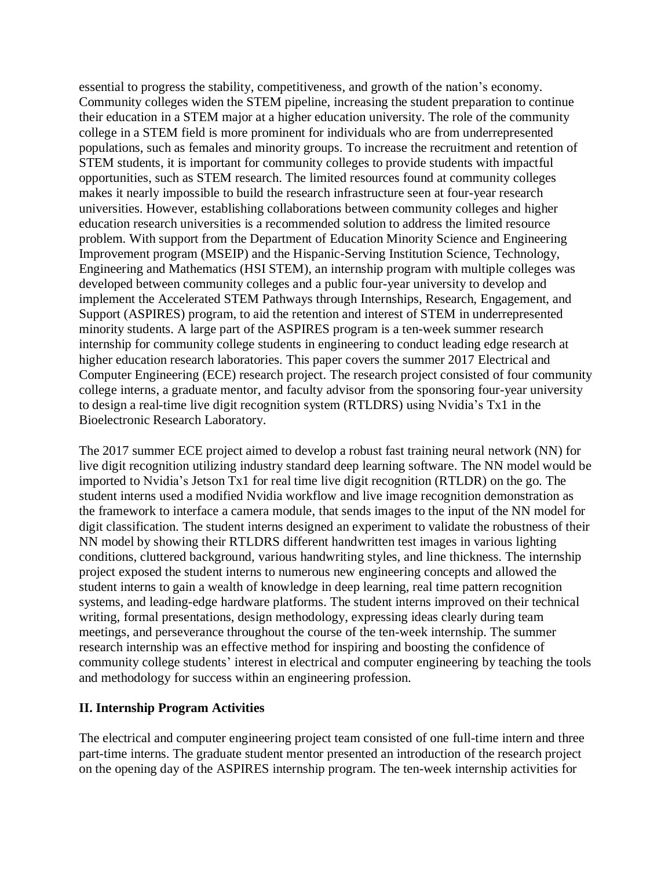essential to progress the stability, competitiveness, and growth of the nation's economy. Community colleges widen the STEM pipeline, increasing the student preparation to continue their education in a STEM major at a higher education university. The role of the community college in a STEM field is more prominent for individuals who are from underrepresented populations, such as females and minority groups. To increase the recruitment and retention of STEM students, it is important for community colleges to provide students with impactful opportunities, such as STEM research. The limited resources found at community colleges makes it nearly impossible to build the research infrastructure seen at four-year research universities. However, establishing collaborations between community colleges and higher education research universities is a recommended solution to address the limited resource problem. With support from the Department of Education Minority Science and Engineering Improvement program (MSEIP) and the Hispanic-Serving Institution Science, Technology, Engineering and Mathematics (HSI STEM), an internship program with multiple colleges was developed between community colleges and a public four-year university to develop and implement the Accelerated STEM Pathways through Internships, Research, Engagement, and Support (ASPIRES) program, to aid the retention and interest of STEM in underrepresented minority students. A large part of the ASPIRES program is a ten-week summer research internship for community college students in engineering to conduct leading edge research at higher education research laboratories. This paper covers the summer 2017 Electrical and Computer Engineering (ECE) research project. The research project consisted of four community college interns, a graduate mentor, and faculty advisor from the sponsoring four-year university to design a real-time live digit recognition system (RTLDRS) using Nvidia's Tx1 in the Bioelectronic Research Laboratory.

The 2017 summer ECE project aimed to develop a robust fast training neural network (NN) for live digit recognition utilizing industry standard deep learning software. The NN model would be imported to Nvidia's Jetson Tx1 for real time live digit recognition (RTLDR) on the go. The student interns used a modified Nvidia workflow and live image recognition demonstration as the framework to interface a camera module, that sends images to the input of the NN model for digit classification. The student interns designed an experiment to validate the robustness of their NN model by showing their RTLDRS different handwritten test images in various lighting conditions, cluttered background, various handwriting styles, and line thickness. The internship project exposed the student interns to numerous new engineering concepts and allowed the student interns to gain a wealth of knowledge in deep learning, real time pattern recognition systems, and leading-edge hardware platforms. The student interns improved on their technical writing, formal presentations, design methodology, expressing ideas clearly during team meetings, and perseverance throughout the course of the ten-week internship. The summer research internship was an effective method for inspiring and boosting the confidence of community college students' interest in electrical and computer engineering by teaching the tools and methodology for success within an engineering profession.

# **II. Internship Program Activities**

The electrical and computer engineering project team consisted of one full-time intern and three part-time interns. The graduate student mentor presented an introduction of the research project on the opening day of the ASPIRES internship program. The ten-week internship activities for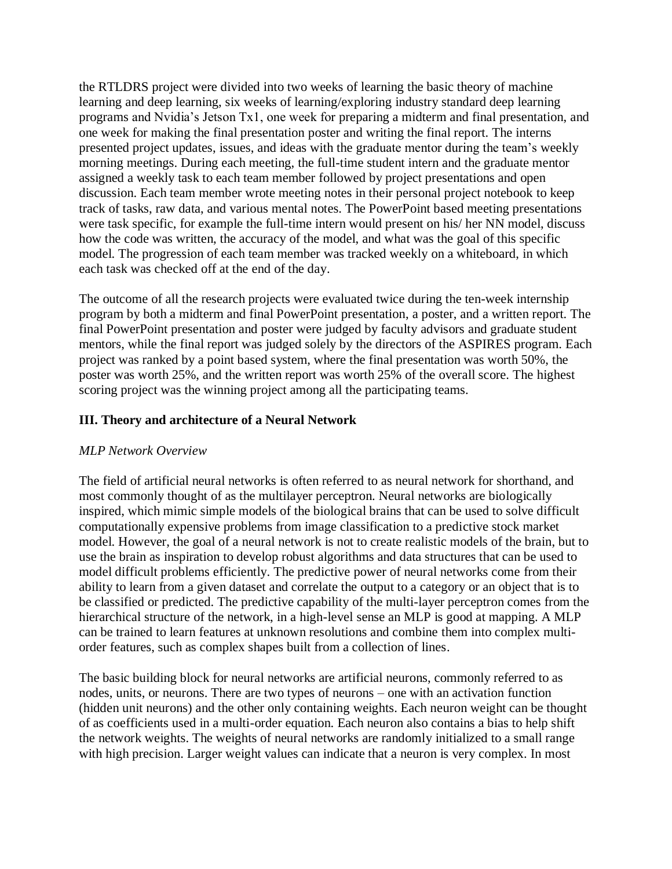the RTLDRS project were divided into two weeks of learning the basic theory of machine learning and deep learning, six weeks of learning/exploring industry standard deep learning programs and Nvidia's Jetson Tx1, one week for preparing a midterm and final presentation, and one week for making the final presentation poster and writing the final report. The interns presented project updates, issues, and ideas with the graduate mentor during the team's weekly morning meetings. During each meeting, the full-time student intern and the graduate mentor assigned a weekly task to each team member followed by project presentations and open discussion. Each team member wrote meeting notes in their personal project notebook to keep track of tasks, raw data, and various mental notes. The PowerPoint based meeting presentations were task specific, for example the full-time intern would present on his/ her NN model, discuss how the code was written, the accuracy of the model, and what was the goal of this specific model. The progression of each team member was tracked weekly on a whiteboard, in which each task was checked off at the end of the day.

The outcome of all the research projects were evaluated twice during the ten-week internship program by both a midterm and final PowerPoint presentation, a poster, and a written report. The final PowerPoint presentation and poster were judged by faculty advisors and graduate student mentors, while the final report was judged solely by the directors of the ASPIRES program. Each project was ranked by a point based system, where the final presentation was worth 50%, the poster was worth 25%, and the written report was worth 25% of the overall score. The highest scoring project was the winning project among all the participating teams.

# **III. Theory and architecture of a Neural Network**

# *MLP Network Overview*

The field of artificial neural networks is often referred to as neural network for shorthand, and most commonly thought of as the multilayer perceptron. Neural networks are biologically inspired, which mimic simple models of the biological brains that can be used to solve difficult computationally expensive problems from image classification to a predictive stock market model. However, the goal of a neural network is not to create realistic models of the brain, but to use the brain as inspiration to develop robust algorithms and data structures that can be used to model difficult problems efficiently. The predictive power of neural networks come from their ability to learn from a given dataset and correlate the output to a category or an object that is to be classified or predicted. The predictive capability of the multi-layer perceptron comes from the hierarchical structure of the network, in a high-level sense an MLP is good at mapping. A MLP can be trained to learn features at unknown resolutions and combine them into complex multiorder features, such as complex shapes built from a collection of lines.

The basic building block for neural networks are artificial neurons, commonly referred to as nodes, units, or neurons. There are two types of neurons – one with an activation function (hidden unit neurons) and the other only containing weights. Each neuron weight can be thought of as coefficients used in a multi-order equation. Each neuron also contains a bias to help shift the network weights. The weights of neural networks are randomly initialized to a small range with high precision. Larger weight values can indicate that a neuron is very complex. In most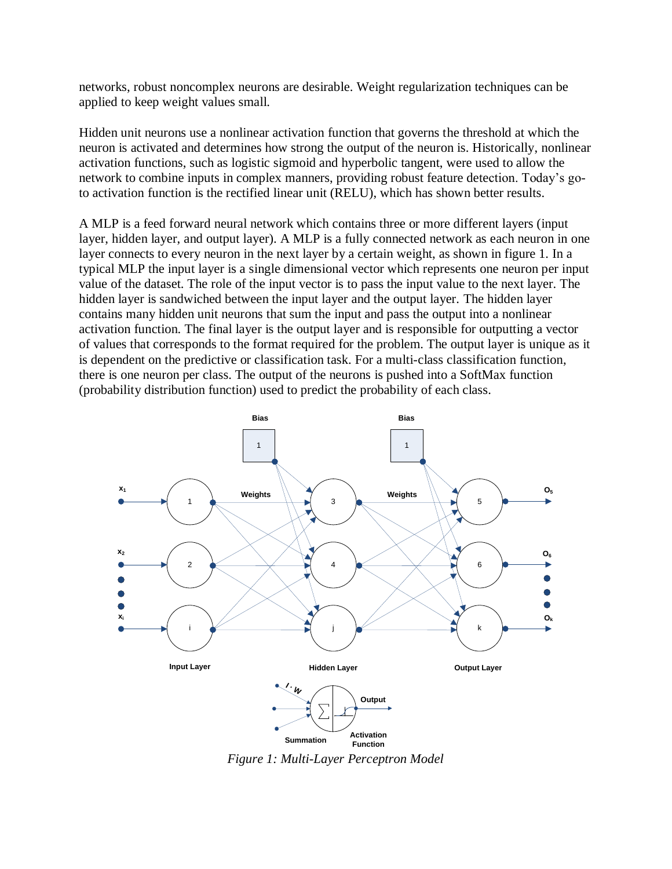networks, robust noncomplex neurons are desirable. Weight regularization techniques can be applied to keep weight values small.

Hidden unit neurons use a nonlinear activation function that governs the threshold at which the neuron is activated and determines how strong the output of the neuron is. Historically, nonlinear activation functions, such as logistic sigmoid and hyperbolic tangent, were used to allow the network to combine inputs in complex manners, providing robust feature detection. Today's goto activation function is the rectified linear unit (RELU), which has shown better results.

A MLP is a feed forward neural network which contains three or more different layers (input layer, hidden layer, and output layer). A MLP is a fully connected network as each neuron in one layer connects to every neuron in the next layer by a certain weight, as shown in figure 1. In a typical MLP the input layer is a single dimensional vector which represents one neuron per input value of the dataset. The role of the input vector is to pass the input value to the next layer. The hidden layer is sandwiched between the input layer and the output layer. The hidden layer contains many hidden unit neurons that sum the input and pass the output into a nonlinear activation function. The final layer is the output layer and is responsible for outputting a vector of values that corresponds to the format required for the problem. The output layer is unique as it is dependent on the predictive or classification task. For a multi-class classification function, there is one neuron per class. The output of the neurons is pushed into a SoftMax function (probability distribution function) used to predict the probability of each class.



*Figure 1: Multi-Layer Perceptron Model*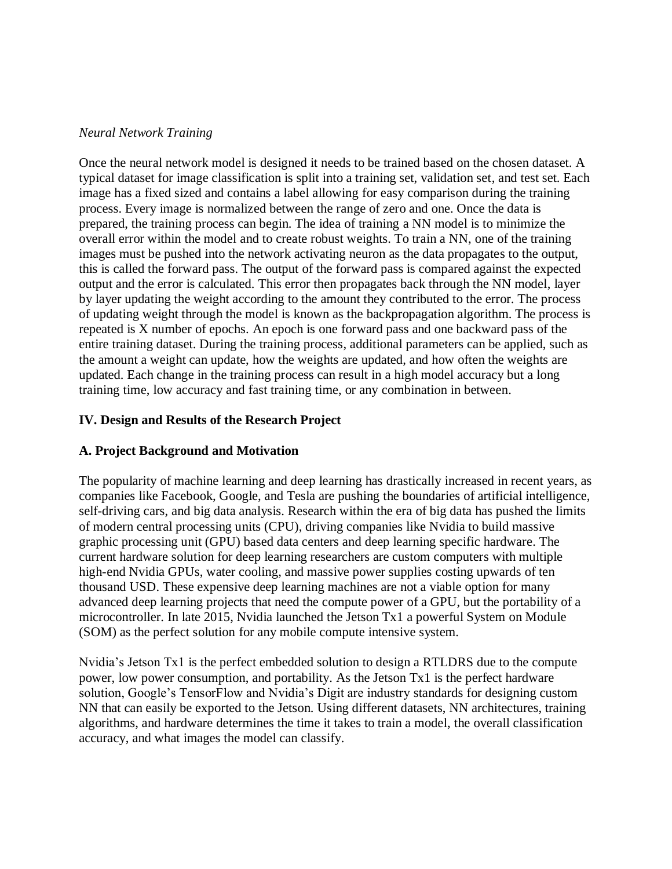### *Neural Network Training*

Once the neural network model is designed it needs to be trained based on the chosen dataset. A typical dataset for image classification is split into a training set, validation set, and test set. Each image has a fixed sized and contains a label allowing for easy comparison during the training process. Every image is normalized between the range of zero and one. Once the data is prepared, the training process can begin. The idea of training a NN model is to minimize the overall error within the model and to create robust weights. To train a NN, one of the training images must be pushed into the network activating neuron as the data propagates to the output, this is called the forward pass. The output of the forward pass is compared against the expected output and the error is calculated. This error then propagates back through the NN model, layer by layer updating the weight according to the amount they contributed to the error. The process of updating weight through the model is known as the backpropagation algorithm. The process is repeated is X number of epochs. An epoch is one forward pass and one backward pass of the entire training dataset. During the training process, additional parameters can be applied, such as the amount a weight can update, how the weights are updated, and how often the weights are updated. Each change in the training process can result in a high model accuracy but a long training time, low accuracy and fast training time, or any combination in between.

# **IV. Design and Results of the Research Project**

# **A. Project Background and Motivation**

The popularity of machine learning and deep learning has drastically increased in recent years, as companies like Facebook, Google, and Tesla are pushing the boundaries of artificial intelligence, self-driving cars, and big data analysis. Research within the era of big data has pushed the limits of modern central processing units (CPU), driving companies like Nvidia to build massive graphic processing unit (GPU) based data centers and deep learning specific hardware. The current hardware solution for deep learning researchers are custom computers with multiple high-end Nvidia GPUs, water cooling, and massive power supplies costing upwards of ten thousand USD. These expensive deep learning machines are not a viable option for many advanced deep learning projects that need the compute power of a GPU, but the portability of a microcontroller. In late 2015, Nvidia launched the Jetson Tx1 a powerful System on Module (SOM) as the perfect solution for any mobile compute intensive system.

Nvidia's Jetson Tx1 is the perfect embedded solution to design a RTLDRS due to the compute power, low power consumption, and portability. As the Jetson Tx1 is the perfect hardware solution, Google's TensorFlow and Nvidia's Digit are industry standards for designing custom NN that can easily be exported to the Jetson. Using different datasets, NN architectures, training algorithms, and hardware determines the time it takes to train a model, the overall classification accuracy, and what images the model can classify.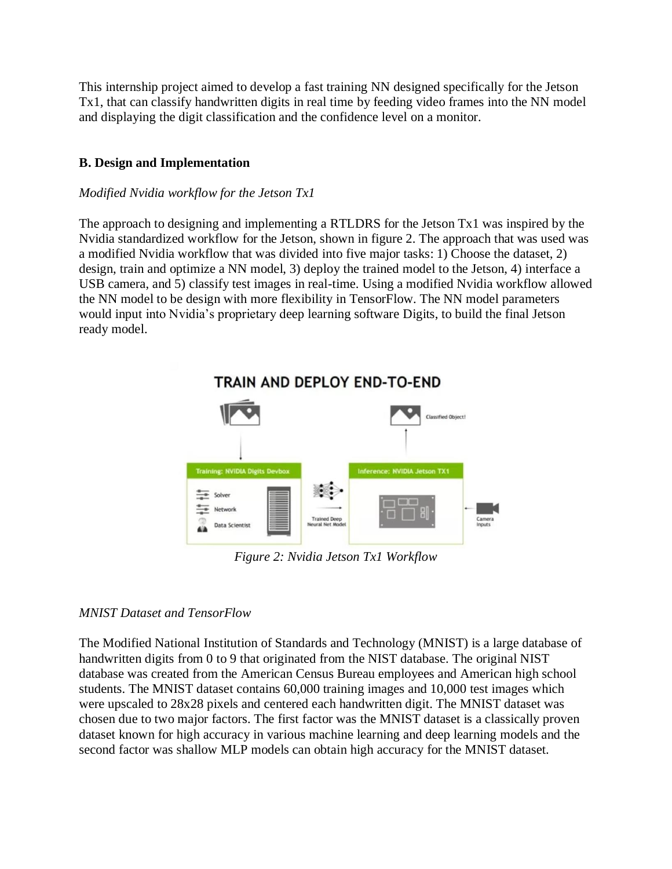This internship project aimed to develop a fast training NN designed specifically for the Jetson Tx1, that can classify handwritten digits in real time by feeding video frames into the NN model and displaying the digit classification and the confidence level on a monitor.

# **B. Design and Implementation**

### *Modified Nvidia workflow for the Jetson Tx1*

The approach to designing and implementing a RTLDRS for the Jetson Tx1 was inspired by the Nvidia standardized workflow for the Jetson, shown in figure 2. The approach that was used was a modified Nvidia workflow that was divided into five major tasks: 1) Choose the dataset, 2) design, train and optimize a NN model, 3) deploy the trained model to the Jetson, 4) interface a USB camera, and 5) classify test images in real-time. Using a modified Nvidia workflow allowed the NN model to be design with more flexibility in TensorFlow. The NN model parameters would input into Nvidia's proprietary deep learning software Digits, to build the final Jetson ready model.



*Figure 2: Nvidia Jetson Tx1 Workflow*

### *MNIST Dataset and TensorFlow*

The Modified National Institution of Standards and Technology (MNIST) is a large database of handwritten digits from 0 to 9 that originated from the NIST database. The original NIST database was created from the American Census Bureau employees and American high school students. The MNIST dataset contains 60,000 training images and 10,000 test images which were upscaled to 28x28 pixels and centered each handwritten digit. The MNIST dataset was chosen due to two major factors. The first factor was the MNIST dataset is a classically proven dataset known for high accuracy in various machine learning and deep learning models and the second factor was shallow MLP models can obtain high accuracy for the MNIST dataset.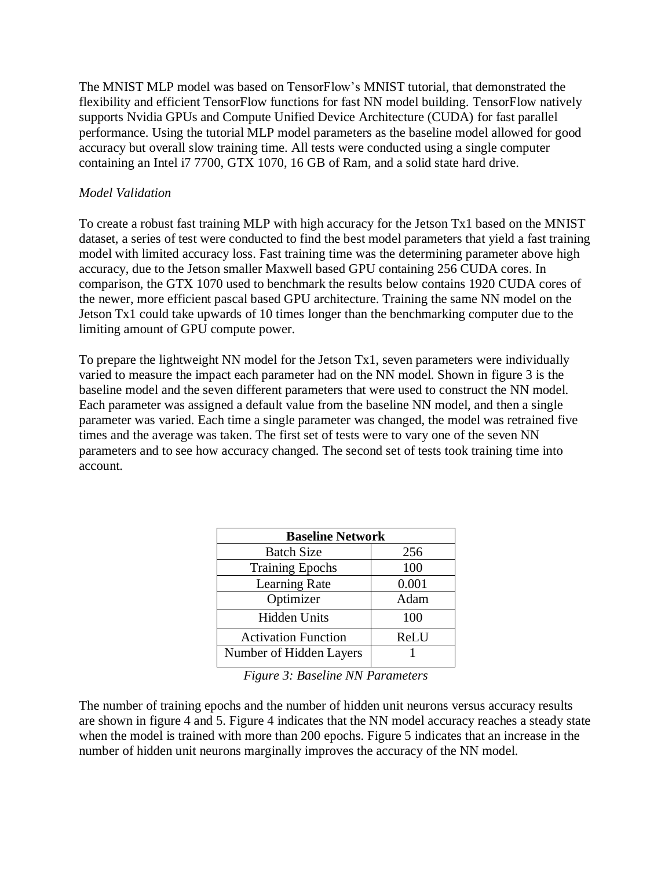The MNIST MLP model was based on TensorFlow's MNIST tutorial, that demonstrated the flexibility and efficient TensorFlow functions for fast NN model building. TensorFlow natively supports Nvidia GPUs and Compute Unified Device Architecture (CUDA) for fast parallel performance. Using the tutorial MLP model parameters as the baseline model allowed for good accuracy but overall slow training time. All tests were conducted using a single computer containing an Intel i7 7700, GTX 1070, 16 GB of Ram, and a solid state hard drive.

### *Model Validation*

To create a robust fast training MLP with high accuracy for the Jetson Tx1 based on the MNIST dataset, a series of test were conducted to find the best model parameters that yield a fast training model with limited accuracy loss. Fast training time was the determining parameter above high accuracy, due to the Jetson smaller Maxwell based GPU containing 256 CUDA cores. In comparison, the GTX 1070 used to benchmark the results below contains 1920 CUDA cores of the newer, more efficient pascal based GPU architecture. Training the same NN model on the Jetson Tx1 could take upwards of 10 times longer than the benchmarking computer due to the limiting amount of GPU compute power.

To prepare the lightweight NN model for the Jetson Tx1, seven parameters were individually varied to measure the impact each parameter had on the NN model. Shown in figure 3 is the baseline model and the seven different parameters that were used to construct the NN model. Each parameter was assigned a default value from the baseline NN model, and then a single parameter was varied. Each time a single parameter was changed, the model was retrained five times and the average was taken. The first set of tests were to vary one of the seven NN parameters and to see how accuracy changed. The second set of tests took training time into account.

| <b>Baseline Network</b>    |       |  |  |
|----------------------------|-------|--|--|
| <b>Batch Size</b>          | 256   |  |  |
| <b>Training Epochs</b>     | 100   |  |  |
| Learning Rate              | 0.001 |  |  |
| Optimizer                  | Adam  |  |  |
| <b>Hidden Units</b>        | 100   |  |  |
| <b>Activation Function</b> | ReLU  |  |  |
| Number of Hidden Layers    |       |  |  |

*Figure 3: Baseline NN Parameters*

The number of training epochs and the number of hidden unit neurons versus accuracy results are shown in figure 4 and 5. Figure 4 indicates that the NN model accuracy reaches a steady state when the model is trained with more than 200 epochs. Figure 5 indicates that an increase in the number of hidden unit neurons marginally improves the accuracy of the NN model.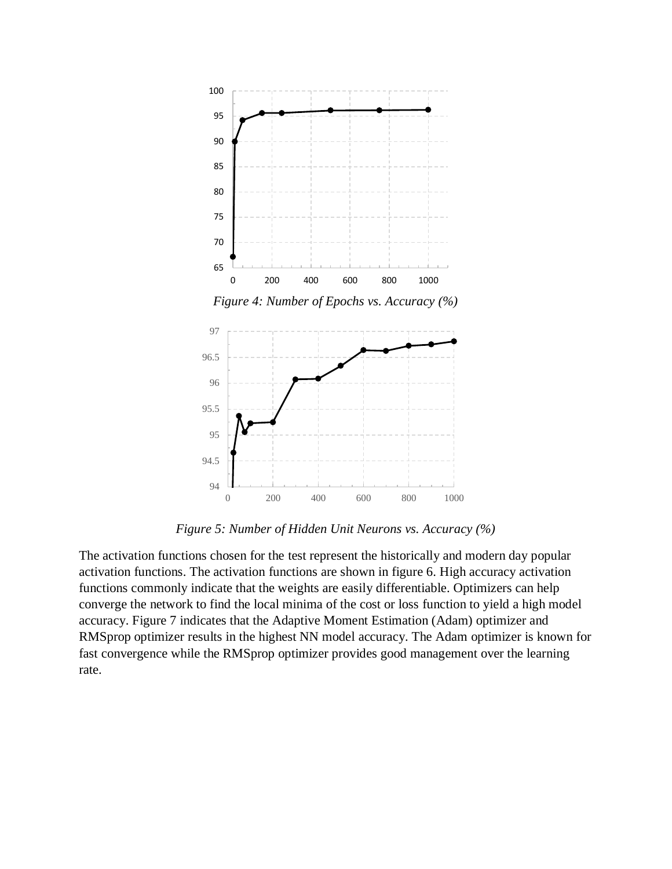

*Figure 4: Number of Epochs vs. Accuracy (%)*



*Figure 5: Number of Hidden Unit Neurons vs. Accuracy (%)*

The activation functions chosen for the test represent the historically and modern day popular activation functions. The activation functions are shown in figure 6. High accuracy activation functions commonly indicate that the weights are easily differentiable. Optimizers can help converge the network to find the local minima of the cost or loss function to yield a high model accuracy. Figure 7 indicates that the Adaptive Moment Estimation (Adam) optimizer and RMSprop optimizer results in the highest NN model accuracy. The Adam optimizer is known for fast convergence while the RMSprop optimizer provides good management over the learning rate.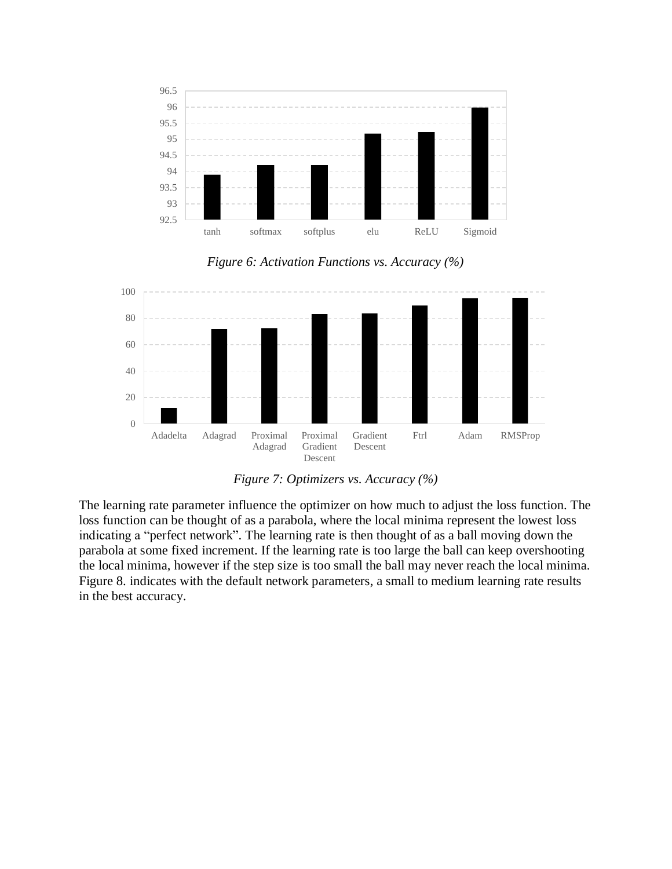

*Figure 6: Activation Functions vs. Accuracy (%)*



*Figure 7: Optimizers vs. Accuracy (%)*

The learning rate parameter influence the optimizer on how much to adjust the loss function. The loss function can be thought of as a parabola, where the local minima represent the lowest loss indicating a "perfect network". The learning rate is then thought of as a ball moving down the parabola at some fixed increment. If the learning rate is too large the ball can keep overshooting the local minima, however if the step size is too small the ball may never reach the local minima. Figure 8. indicates with the default network parameters, a small to medium learning rate results in the best accuracy.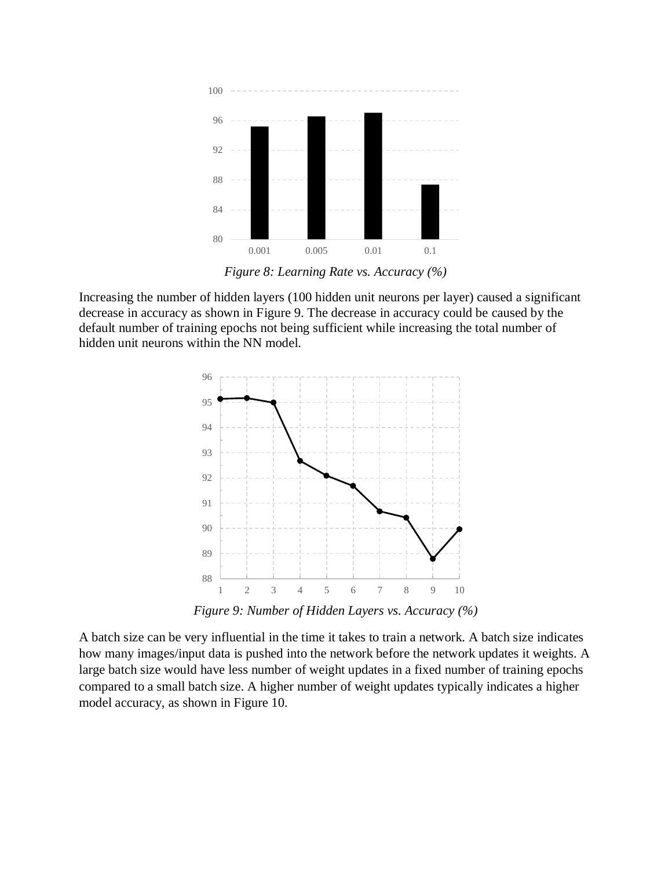

*Figure 8: Learning Rate vs. Accuracy (%)*

Increasing the number of hidden layers (100 hidden unit neurons per layer) caused a significant decrease in accuracy as shown in Figure 9. The decrease in accuracy could be caused by the default number of training epochs not being sufficient while increasing the total number of hidden unit neurons within the NN model.



*Figure 9: Number of Hidden Layers vs. Accuracy (%)*

A batch size can be very influential in the time it takes to train a network. A batch size indicates how many images/input data is pushed into the network before the network updates it weights. A large batch size would have less number of weight updates in a fixed number of training epochs compared to a small batch size. A higher number of weight updates typically indicates a higher model accuracy, as shown in Figure 10.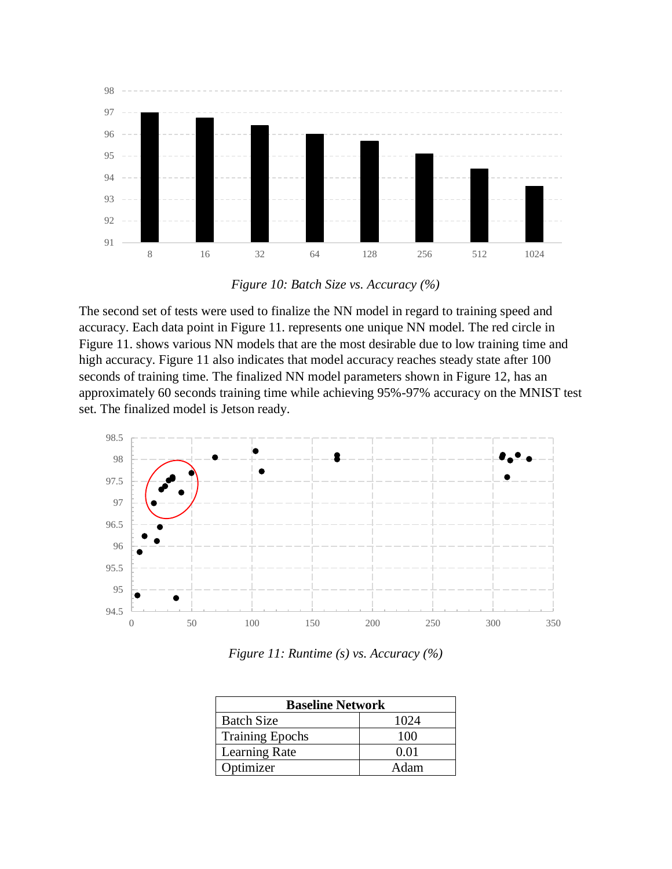

*Figure 10: Batch Size vs. Accuracy (%)*

The second set of tests were used to finalize the NN model in regard to training speed and accuracy. Each data point in Figure 11. represents one unique NN model. The red circle in Figure 11. shows various NN models that are the most desirable due to low training time and high accuracy. Figure 11 also indicates that model accuracy reaches steady state after 100 seconds of training time. The finalized NN model parameters shown in Figure 12, has an approximately 60 seconds training time while achieving 95%-97% accuracy on the MNIST test set. The finalized model is Jetson ready.



*Figure 11: Runtime (s) vs. Accuracy (%)*

| <b>Baseline Network</b> |      |  |
|-------------------------|------|--|
| <b>Batch Size</b>       | 1024 |  |
| <b>Training Epochs</b>  | 100  |  |
| <b>Learning Rate</b>    | 0.01 |  |
| Optimizer               | Adam |  |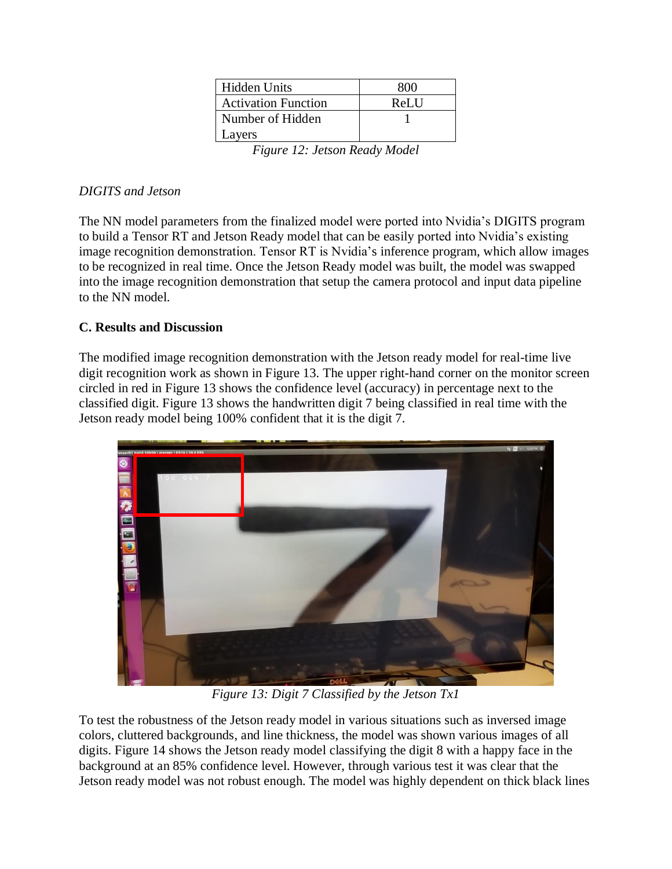| Hidden Units               | 800  |
|----------------------------|------|
| <b>Activation Function</b> | ReLU |
| Number of Hidden           |      |
| Layers                     |      |
|                            | .    |

*Figure 12: Jetson Ready Model*

# *DIGITS and Jetson*

The NN model parameters from the finalized model were ported into Nvidia's DIGITS program to build a Tensor RT and Jetson Ready model that can be easily ported into Nvidia's existing image recognition demonstration. Tensor RT is Nvidia's inference program, which allow images to be recognized in real time. Once the Jetson Ready model was built, the model was swapped into the image recognition demonstration that setup the camera protocol and input data pipeline to the NN model.

# **C. Results and Discussion**

The modified image recognition demonstration with the Jetson ready model for real-time live digit recognition work as shown in Figure 13. The upper right-hand corner on the monitor screen circled in red in Figure 13 shows the confidence level (accuracy) in percentage next to the classified digit. Figure 13 shows the handwritten digit 7 being classified in real time with the Jetson ready model being 100% confident that it is the digit 7.



*Figure 13: Digit 7 Classified by the Jetson Tx1*

To test the robustness of the Jetson ready model in various situations such as inversed image colors, cluttered backgrounds, and line thickness, the model was shown various images of all digits. Figure 14 shows the Jetson ready model classifying the digit 8 with a happy face in the background at an 85% confidence level. However, through various test it was clear that the Jetson ready model was not robust enough. The model was highly dependent on thick black lines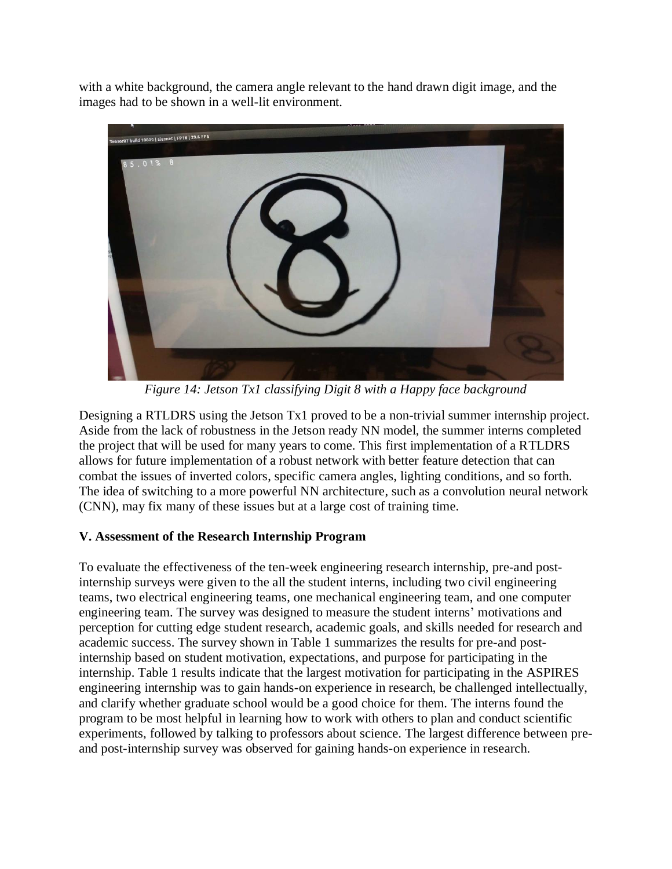with a white background, the camera angle relevant to the hand drawn digit image, and the images had to be shown in a well-lit environment.



*Figure 14: Jetson Tx1 classifying Digit 8 with a Happy face background*

Designing a RTLDRS using the Jetson Tx1 proved to be a non-trivial summer internship project. Aside from the lack of robustness in the Jetson ready NN model, the summer interns completed the project that will be used for many years to come. This first implementation of a RTLDRS allows for future implementation of a robust network with better feature detection that can combat the issues of inverted colors, specific camera angles, lighting conditions, and so forth. The idea of switching to a more powerful NN architecture, such as a convolution neural network (CNN), may fix many of these issues but at a large cost of training time.

# **V. Assessment of the Research Internship Program**

To evaluate the effectiveness of the ten-week engineering research internship, pre-and postinternship surveys were given to the all the student interns, including two civil engineering teams, two electrical engineering teams, one mechanical engineering team, and one computer engineering team. The survey was designed to measure the student interns' motivations and perception for cutting edge student research, academic goals, and skills needed for research and academic success. The survey shown in Table 1 summarizes the results for pre-and postinternship based on student motivation, expectations, and purpose for participating in the internship. Table 1 results indicate that the largest motivation for participating in the ASPIRES engineering internship was to gain hands-on experience in research, be challenged intellectually, and clarify whether graduate school would be a good choice for them. The interns found the program to be most helpful in learning how to work with others to plan and conduct scientific experiments, followed by talking to professors about science. The largest difference between preand post-internship survey was observed for gaining hands-on experience in research.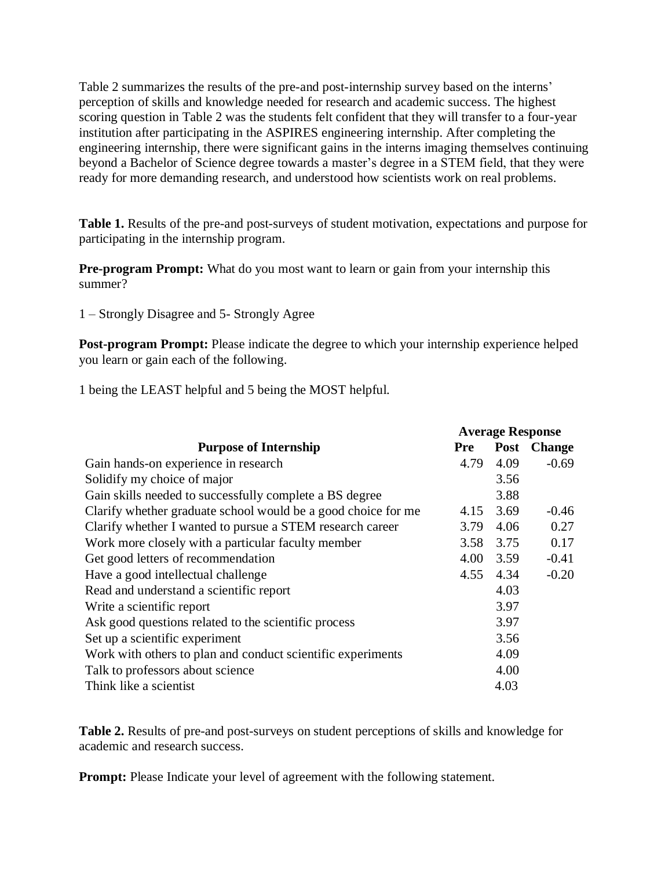Table 2 summarizes the results of the pre-and post-internship survey based on the interns' perception of skills and knowledge needed for research and academic success. The highest scoring question in Table 2 was the students felt confident that they will transfer to a four-year institution after participating in the ASPIRES engineering internship. After completing the engineering internship, there were significant gains in the interns imaging themselves continuing beyond a Bachelor of Science degree towards a master's degree in a STEM field, that they were ready for more demanding research, and understood how scientists work on real problems.

**Table 1.** Results of the pre-and post-surveys of student motivation, expectations and purpose for participating in the internship program.

**Pre-program Prompt:** What do you most want to learn or gain from your internship this summer?

1 – Strongly Disagree and 5- Strongly Agree

**Post-program Prompt:** Please indicate the degree to which your internship experience helped you learn or gain each of the following.

1 being the LEAST helpful and 5 being the MOST helpful.

|                                                               | <b>Average Response</b> |           |             |
|---------------------------------------------------------------|-------------------------|-----------|-------------|
| <b>Purpose of Internship</b>                                  | <b>Pre</b>              |           | Post Change |
| Gain hands-on experience in research                          | 4.79                    | 4.09      | $-0.69$     |
| Solidify my choice of major                                   |                         | 3.56      |             |
| Gain skills needed to successfully complete a BS degree       |                         | 3.88      |             |
| Clarify whether graduate school would be a good choice for me |                         | 4.15 3.69 | $-0.46$     |
| Clarify whether I wanted to pursue a STEM research career     | 3.79                    | 4.06      | 0.27        |
| Work more closely with a particular faculty member            | 3.58                    | 3.75      | 0.17        |
| Get good letters of recommendation                            | 4.00                    | 3.59      | $-0.41$     |
| Have a good intellectual challenge                            |                         | 4.55 4.34 | $-0.20$     |
| Read and understand a scientific report                       |                         | 4.03      |             |
| Write a scientific report                                     |                         | 3.97      |             |
| Ask good questions related to the scientific process          |                         | 3.97      |             |
| Set up a scientific experiment                                |                         | 3.56      |             |
| Work with others to plan and conduct scientific experiments   |                         | 4.09      |             |
| Talk to professors about science                              |                         | 4.00      |             |
| Think like a scientist                                        |                         | 4.03      |             |

**Table 2.** Results of pre-and post-surveys on student perceptions of skills and knowledge for academic and research success.

**Prompt:** Please Indicate your level of agreement with the following statement.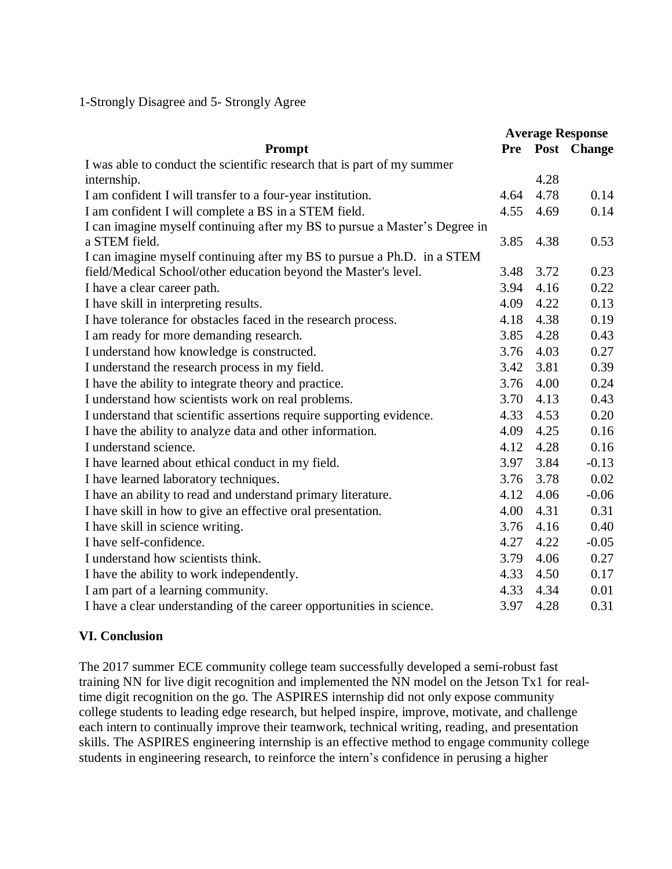1-Strongly Disagree and 5- Strongly Agree

|                                                                            | <b>Average Response</b> |      |                 |
|----------------------------------------------------------------------------|-------------------------|------|-----------------|
| Prompt                                                                     |                         |      | Pre Post Change |
| I was able to conduct the scientific research that is part of my summer    |                         |      |                 |
| internship.                                                                |                         | 4.28 |                 |
| I am confident I will transfer to a four-year institution.                 | 4.64                    | 4.78 | 0.14            |
| I am confident I will complete a BS in a STEM field.                       | 4.55                    | 4.69 | 0.14            |
| I can imagine myself continuing after my BS to pursue a Master's Degree in |                         |      |                 |
| a STEM field.                                                              | 3.85                    | 4.38 | 0.53            |
| I can imagine myself continuing after my BS to pursue a Ph.D. in a STEM    |                         |      |                 |
| field/Medical School/other education beyond the Master's level.            | 3.48                    | 3.72 | 0.23            |
| I have a clear career path.                                                | 3.94                    | 4.16 | 0.22            |
| I have skill in interpreting results.                                      | 4.09                    | 4.22 | 0.13            |
| I have tolerance for obstacles faced in the research process.              | 4.18                    | 4.38 | 0.19            |
| I am ready for more demanding research.                                    | 3.85                    | 4.28 | 0.43            |
| I understand how knowledge is constructed.                                 | 3.76                    | 4.03 | 0.27            |
| I understand the research process in my field.                             | 3.42                    | 3.81 | 0.39            |
| I have the ability to integrate theory and practice.                       | 3.76                    | 4.00 | 0.24            |
| I understand how scientists work on real problems.                         | 3.70                    | 4.13 | 0.43            |
| I understand that scientific assertions require supporting evidence.       | 4.33                    | 4.53 | 0.20            |
| I have the ability to analyze data and other information.                  | 4.09                    | 4.25 | 0.16            |
| I understand science.                                                      | 4.12                    | 4.28 | 0.16            |
| I have learned about ethical conduct in my field.                          | 3.97                    | 3.84 | $-0.13$         |
| I have learned laboratory techniques.                                      | 3.76                    | 3.78 | $0.02\,$        |
| I have an ability to read and understand primary literature.               | 4.12                    | 4.06 | $-0.06$         |
| I have skill in how to give an effective oral presentation.                | 4.00                    | 4.31 | 0.31            |
| I have skill in science writing.                                           | 3.76                    | 4.16 | 0.40            |
| I have self-confidence.                                                    | 4.27                    | 4.22 | $-0.05$         |
| I understand how scientists think.                                         | 3.79                    | 4.06 | 0.27            |
| I have the ability to work independently.                                  | 4.33                    | 4.50 | 0.17            |
| I am part of a learning community.                                         | 4.33                    | 4.34 | 0.01            |
| I have a clear understanding of the career opportunities in science.       | 3.97                    | 4.28 | 0.31            |

# **VI. Conclusion**

The 2017 summer ECE community college team successfully developed a semi-robust fast training NN for live digit recognition and implemented the NN model on the Jetson Tx1 for realtime digit recognition on the go. The ASPIRES internship did not only expose community college students to leading edge research, but helped inspire, improve, motivate, and challenge each intern to continually improve their teamwork, technical writing, reading, and presentation skills. The ASPIRES engineering internship is an effective method to engage community college students in engineering research, to reinforce the intern's confidence in perusing a higher